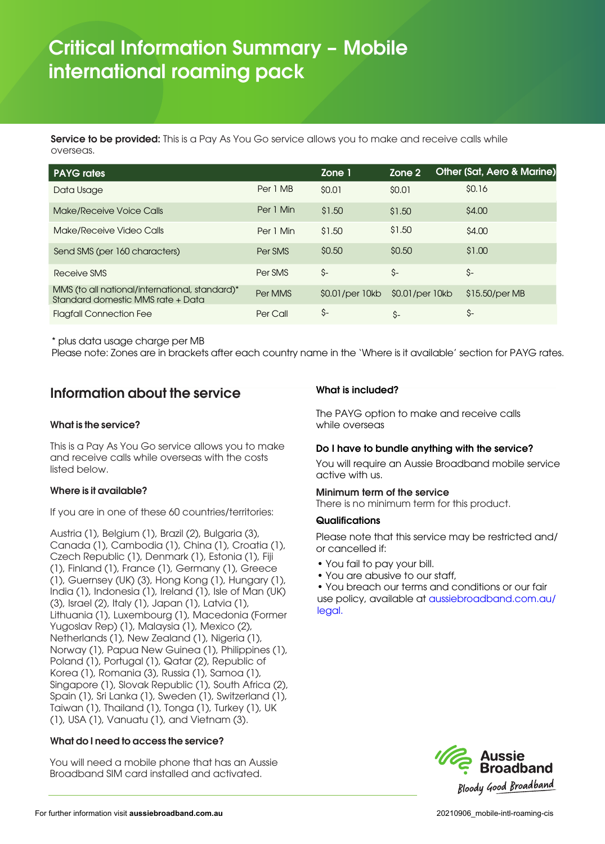# Critical Information Summary – **Mobile**  international roaming pack

Service to be provided: This is a Pay As You Go service allows you to make and receive calls while overseas.

| <b>PAYG</b> rates                                                                   |           | Zone 1          | Zone 2          | Other (Sat, Aero & Marine) |
|-------------------------------------------------------------------------------------|-----------|-----------------|-----------------|----------------------------|
| Data Usage                                                                          | Per 1 MB  | \$0.01          | \$0.01          | \$0.16                     |
| Make/Receive Voice Calls                                                            | Per 1 Min | \$1.50          | \$1.50          | \$4,00                     |
| Make/Receive Video Calls                                                            | Per 1 Min | \$1.50          | \$1.50          | \$4.00                     |
| Send SMS (per 160 characters)                                                       | Per SMS   | \$0.50          | \$0.50          | \$1.00                     |
| Receive SMS                                                                         | Per SMS   | \$-             | \$-             | \$-                        |
| MMS (to all national/international, standard)*<br>Standard domestic MMS rate + Data | Per MMS   | \$0.01/per 10kb | \$0.01/per 10kb | \$15.50/per MB             |
| <b>Flagfall Connection Fee</b>                                                      | Per Call  | \$-             | \$-             | \$-                        |

\* plus data usage charge per MB

Please note: Zones are in brackets after each country name in the 'Where is it available' section for PAYG rates.

# Information about the service

## What is the service?

This is a Pay As You Go service allows you to make and receive calls while overseas with the costs listed below.

#### Where is it available?

If you are in one of these 60 countries/territories:

Austria (1), Belgium (1), Brazil (2), Bulgaria (3), Canada (1), Cambodia (1), China (1), Croatia (1), Czech Republic (1), Denmark (1), Estonia (1), Fiji (1), Finland (1), France (1), Germany (1), Greece (1), Guernsey (UK) (3), Hong Kong (1), Hungary (1), India (1), Indonesia (1), Ireland (1), Isle of Man (UK) (3), Israel (2), Italy (1), Japan (1), Latvia (1), Lithuania (1), Luxembourg (1), Macedonia (Former Yugoslav Rep) (1), Malaysia (1), Mexico (2), Netherlands (1), New Zealand (1), Nigeria (1), Norway (1), Papua New Guinea (1), Philippines (1), Poland (1), Portugal (1), Qatar (2), Republic of Korea (1), Romania (3), Russia (1), Samoa (1), Singapore (1), Slovak Republic (1), South Africa (2), Spain (1), Sri Lanka (1), Sweden (1), Switzerland (1), Taiwan (1), Thailand (1), Tonga (1), Turkey (1), UK (1), USA (1), Vanuatu (1), and Vietnam (3).

## What do I need to access the service?

You will need a mobile phone that has an Aussie Broadband SIM card installed and activated.

## What is included?

The PAYG option to make and receive calls while overseas

#### Do I have to bundle anything with the service?

You will require an Aussie Broadband mobile service active with us.

## Minimum term of the service

There is no minimum term for this product.

#### **Qualifications**

Please note that this service may be restricted and/ or cancelled if:

- You fail to pay your bill.
- You are abusive to our staff,

• You breach our terms and conditions or our fair [use policy, available at aussiebroadband.com.au/](https://www.aussiebroadband.com.au/legal-2/) legal.